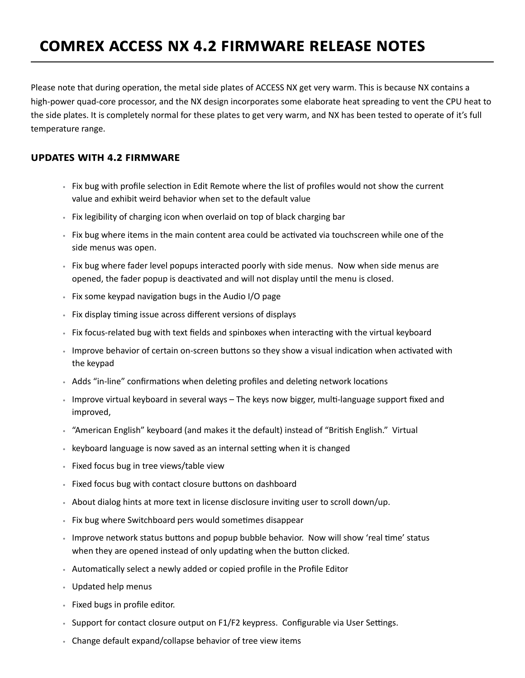## **Comrex ACCESS NX 4.2 Firmware Release Notes**

Please note that during operation, the metal side plates of ACCESS NX get very warm. This is because NX contains a high-power quad-core processor, and the NX design incorporates some elaborate heat spreading to vent the CPU heat to the side plates. It is completely normal for these plates to get very warm, and NX has been tested to operate of it's full temperature range.

## **Updates with 4.2 firmware**

- Fix bug with profile selection in Edit Remote where the list of profiles would not show the current value and exhibit weird behavior when set to the default value
- Fix legibility of charging icon when overlaid on top of black charging bar
- Fix bug where items in the main content area could be activated via touchscreen while one of the side menus was open.
- Fix bug where fader level popups interacted poorly with side menus. Now when side menus are opened, the fader popup is deactivated and will not display until the menu is closed.
- Fix some keypad navigation bugs in the Audio I/O page
- Fix display timing issue across different versions of displays
- Fix focus‐related bug with text fields and spinboxes when interacting with the virtual keyboard
- Improve behavior of certain on-screen buttons so they show a visual indication when activated with the keypad
- Adds "in‐line" confirmations when deleting profiles and deleting network locations
- Improve virtual keyboard in several ways The keys now bigger, multi‐language support fixed and improved,
- "American English" keyboard (and makes it the default) instead of "British English." Virtual
- keyboard language is now saved as an internal setting when it is changed
- Fixed focus bug in tree views/table view
- Fixed focus bug with contact closure buttons on dashboard
- About dialog hints at more text in license disclosure inviting user to scroll down/up.
- Fix bug where Switchboard pers would sometimes disappear
- Improve network status buttons and popup bubble behavior. Now will show 'real time' status when they are opened instead of only updating when the button clicked.
- Automatically select a newly added or copied profile in the Profile Editor
- Updated help menus
- Fixed bugs in profile editor.
- Support for contact closure output on F1/F2 keypress. Configurable via User Settings.
- Change default expand/collapse behavior of tree view items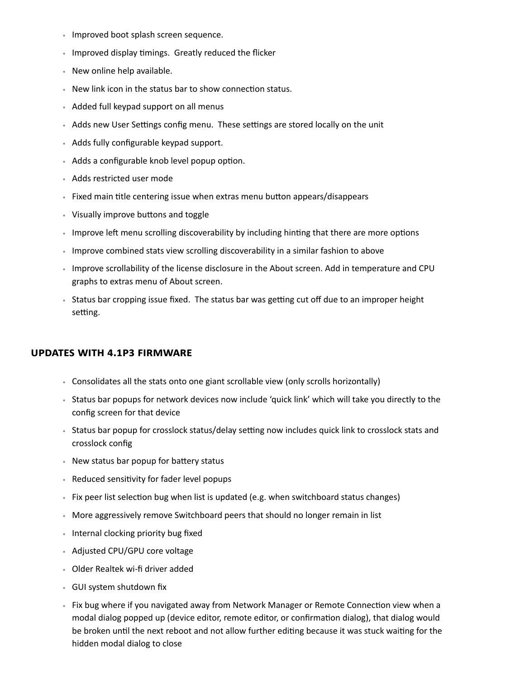- Improved boot splash screen sequence.
- Improved display timings. Greatly reduced the flicker
- New online help available.
- New link icon in the status bar to show connection status.
- Added full keypad support on all menus
- Adds new User Settings config menu. These settings are stored locally on the unit
- Adds fully configurable keypad support.
- Adds a configurable knob level popup option.
- Adds restricted user mode
- Fixed main title centering issue when extras menu button appears/disappears
- Visually improve buttons and toggle
- Improve left menu scrolling discoverability by including hinting that there are more options
- Improve combined stats view scrolling discoverability in a similar fashion to above
- Improve scrollability of the license disclosure in the About screen. Add in temperature and CPU graphs to extras menu of About screen.
- Status bar cropping issue fixed. The status bar was getting cut off due to an improper height setting.

## **Updates with 4.1p3 firmware**

- Consolidates all the stats onto one giant scrollable view (only scrolls horizontally)
- Status bar popups for network devices now include 'quick link' which will take you directly to the config screen for that device
- Status bar popup for crosslock status/delay setting now includes quick link to crosslock stats and crosslock config
- New status bar popup for battery status
- Reduced sensitivity for fader level popups
- Fix peer list selection bug when list is updated (e.g. when switchboard status changes)
- More aggressively remove Switchboard peers that should no longer remain in list
- Internal clocking priority bug fixed
- Adjusted CPU/GPU core voltage
- Older Realtek wi-fi driver added
- GUI system shutdown fix
- Fix bug where if you navigated away from Network Manager or Remote Connection view when a modal dialog popped up (device editor, remote editor, or confirmation dialog), that dialog would be broken until the next reboot and not allow further editing because it was stuck waiting for the hidden modal dialog to close